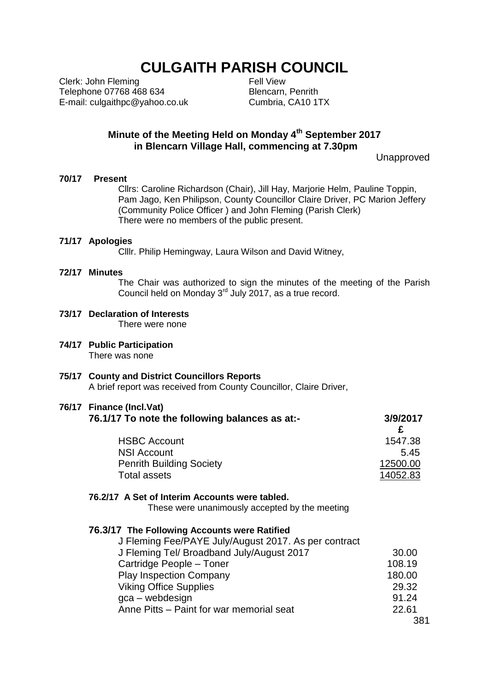# **CULGAITH PARISH COUNCIL**

Clerk: John Fleming Telephone 07768 468 634 E-mail: culgaithpc@yahoo.co.uk Fell View Blencarn, Penrith Cumbria, CA10 1TX

### **Minute of the Meeting Held on Monday 4th September 2017 in Blencarn Village Hall, commencing at 7.30pm**

Unapproved

#### **70/17 Present**

Cllrs: Caroline Richardson (Chair), Jill Hay, Marjorie Helm, Pauline Toppin, Pam Jago, Ken Philipson, County Councillor Claire Driver, PC Marion Jeffery (Community Police Officer ) and John Fleming (Parish Clerk) There were no members of the public present.

#### **71/17 Apologies**

Clllr. Philip Hemingway, Laura Wilson and David Witney,

#### **72/17 Minutes**

The Chair was authorized to sign the minutes of the meeting of the Parish Council held on Monday  $3<sup>rd</sup>$  July 2017, as a true record.

- **73/17 Declaration of Interests** There were none
- **74/17 Public Participation** There was none
- **75/17 County and District Councillors Reports** A brief report was received from County Councillor, Claire Driver,

#### **76/17 Finance (Incl.Vat)**

| 76.1/17 To note the following balances as at:- | 3/9/2017 |
|------------------------------------------------|----------|
| <b>HSBC Account</b>                            | 1547.38  |
| <b>NSI Account</b>                             | 5.45     |
| <b>Penrith Building Society</b>                | 12500.00 |
| Total assets                                   | 14052.83 |
|                                                |          |

#### **76.2/17 A Set of Interim Accounts were tabled.**

These were unanimously accepted by the meeting

#### **76.3/17 The Following Accounts were Ratified**

| J Fleming Fee/PAYE July/August 2017. As per contract |        |
|------------------------------------------------------|--------|
| J Fleming Tel/ Broadband July/August 2017            | 30.00  |
| Cartridge People - Toner                             | 108.19 |
| <b>Play Inspection Company</b>                       | 180.00 |
| <b>Viking Office Supplies</b>                        | 29.32  |
| gca – webdesign                                      | 91.24  |
| Anne Pitts - Paint for war memorial seat             | 22.61  |
|                                                      |        |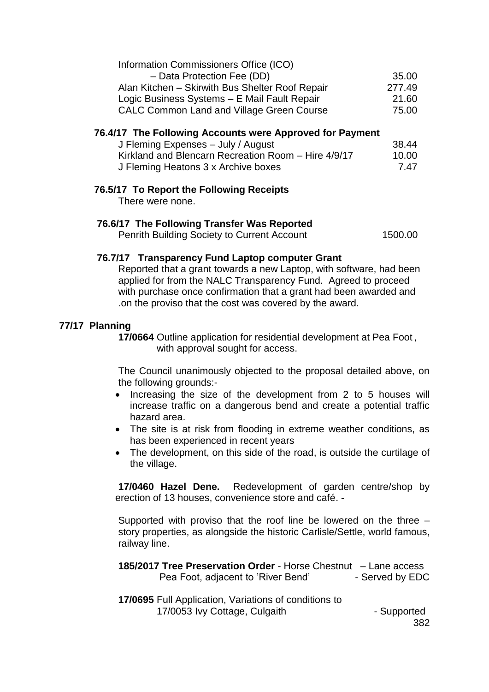| Information Commissioners Office (ICO)           |        |
|--------------------------------------------------|--------|
| - Data Protection Fee (DD)                       | 35.00  |
| Alan Kitchen - Skirwith Bus Shelter Roof Repair  | 277.49 |
| Logic Business Systems - E Mail Fault Repair     | 21.60  |
| <b>CALC Common Land and Village Green Course</b> | 75.00  |

#### **76.4/17 The Following Accounts were Approved for Payment**

| J Fleming Expenses - July / August                  | 38.44 |
|-----------------------------------------------------|-------|
| Kirkland and Blencarn Recreation Room - Hire 4/9/17 | 10.00 |
| J Fleming Heatons 3 x Archive boxes                 | 747   |

#### **76.5/17 To Report the Following Receipts**

There were none.

### **76.6/17 The Following Transfer Was Reported**

Penrith Building Society to Current Account 1500.00

#### **76.7/17 Transparency Fund Laptop computer Grant**

Reported that a grant towards a new Laptop, with software, had been applied for from the NALC Transparency Fund. Agreed to proceed with purchase once confirmation that a grant had been awarded and .on the proviso that the cost was covered by the award.

#### **77/17 Planning**

**17/0664** Outline application for residential development at Pea Foot , with approval sought for access.

The Council unanimously objected to the proposal detailed above, on the following grounds:-

- Increasing the size of the development from 2 to 5 houses will increase traffic on a dangerous bend and create a potential traffic hazard area.
- The site is at risk from flooding in extreme weather conditions, as has been experienced in recent years
- The development, on this side of the road, is outside the curtilage of the village.

**17/0460 Hazel Dene.** Redevelopment of garden centre/shop by erection of 13 houses, convenience store and café. -

Supported with proviso that the roof line be lowered on the three – story properties, as alongside the historic Carlisle/Settle, world famous, railway line.

| <b>185/2017 Tree Preservation Order - Horse Chestnut – Lane access</b> |                 |
|------------------------------------------------------------------------|-----------------|
| Pea Foot, adjacent to 'River Bend'                                     | - Served by EDC |

**17/0695** Full Application, Variations of conditions to 17/0053 Ivy Cottage, Culgaith **Fig. 17/0053** Ivy Cottage, Culgaith

382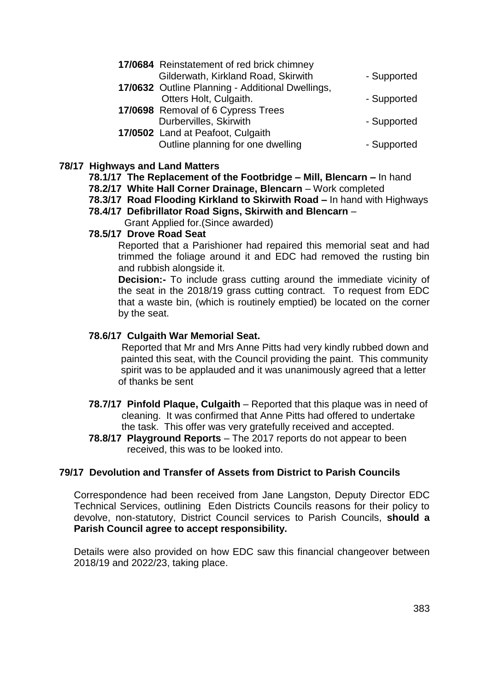| 17/0684 Reinstatement of red brick chimney       |             |
|--------------------------------------------------|-------------|
| Gilderwath, Kirkland Road, Skirwith              | - Supported |
| 17/0632 Outline Planning - Additional Dwellings, |             |
| Otters Holt, Culgaith.                           | - Supported |
| 17/0698 Removal of 6 Cypress Trees               |             |
| Durbervilles, Skirwith                           | - Supported |
| 17/0502 Land at Peafoot, Culgaith                |             |
| Outline planning for one dwelling                | - Supported |
|                                                  |             |

### **78/17 Highways and Land Matters**

- **78.1/17 The Replacement of the Footbridge – Mill, Blencarn –** In hand
- **78.2/17 White Hall Corner Drainage, Blencarn**  Work completed
- **78.3/17 Road Flooding Kirkland to Skirwith Road –** In hand with Highways
- **78.4/17 Defibrillator Road Signs, Skirwith and Blencarn** –

Grant Applied for.(Since awarded)

### **78.5/17 Drove Road Seat**

Reported that a Parishioner had repaired this memorial seat and had trimmed the foliage around it and EDC had removed the rusting bin and rubbish alongside it.

**Decision:-** To include grass cutting around the immediate vicinity of the seat in the 2018/19 grass cutting contract. To request from EDC that a waste bin, (which is routinely emptied) be located on the corner by the seat.

### **78.6/17 Culgaith War Memorial Seat.**

 Reported that Mr and Mrs Anne Pitts had very kindly rubbed down and painted this seat, with the Council providing the paint. This community spirit was to be applauded and it was unanimously agreed that a letter of thanks be sent

- **78.7/17 Pinfold Plaque, Culgaith** Reported that this plaque was in need of cleaning. It was confirmed that Anne Pitts had offered to undertake the task. This offer was very gratefully received and accepted.
- **78.8/17 Playground Reports** The 2017 reports do not appear to been received, this was to be looked into.

### **79/17 Devolution and Transfer of Assets from District to Parish Councils**

Correspondence had been received from Jane Langston, Deputy Director EDC Technical Services, outlining Eden Districts Councils reasons for their policy to devolve, non-statutory, District Council services to Parish Councils, **should a Parish Council agree to accept responsibility.**

Details were also provided on how EDC saw this financial changeover between 2018/19 and 2022/23, taking place.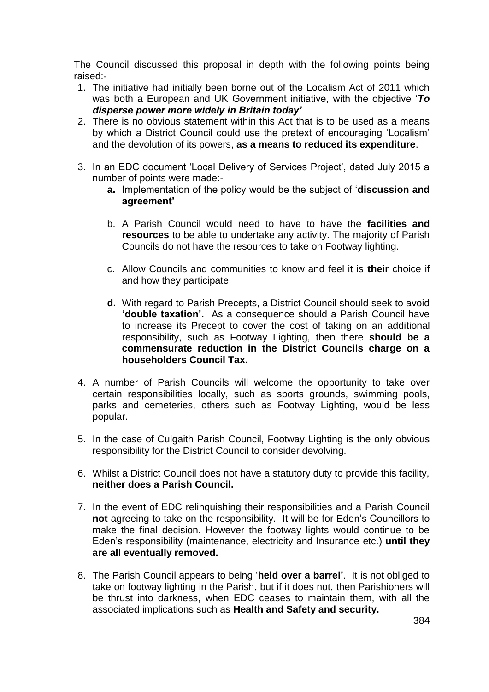The Council discussed this proposal in depth with the following points being raised:-

- 1. The initiative had initially been borne out of the Localism Act of 2011 which was both a European and UK Government initiative, with the objective '*To disperse power more widely in Britain today'*
- 2. There is no obvious statement within this Act that is to be used as a means by which a District Council could use the pretext of encouraging 'Localism' and the devolution of its powers, **as a means to reduced its expenditure**.
- 3. In an EDC document 'Local Delivery of Services Project', dated July 2015 a number of points were made:
	- **a.** Implementation of the policy would be the subject of '**discussion and agreement'**
	- b. A Parish Council would need to have to have the **facilities and resources** to be able to undertake any activity. The majority of Parish Councils do not have the resources to take on Footway lighting.
	- c. Allow Councils and communities to know and feel it is **their** choice if and how they participate
	- **d.** With regard to Parish Precepts, a District Council should seek to avoid **'double taxation'.** As a consequence should a Parish Council have to increase its Precept to cover the cost of taking on an additional responsibility, such as Footway Lighting, then there **should be a commensurate reduction in the District Councils charge on a householders Council Tax.**
- 4. A number of Parish Councils will welcome the opportunity to take over certain responsibilities locally, such as sports grounds, swimming pools, parks and cemeteries, others such as Footway Lighting, would be less popular.
- 5. In the case of Culgaith Parish Council, Footway Lighting is the only obvious responsibility for the District Council to consider devolving.
- 6. Whilst a District Council does not have a statutory duty to provide this facility, **neither does a Parish Council.**
- 7. In the event of EDC relinquishing their responsibilities and a Parish Council **not** agreeing to take on the responsibility. It will be for Eden's Councillors to make the final decision. However the footway lights would continue to be Eden's responsibility (maintenance, electricity and Insurance etc.) **until they are all eventually removed.**
- 8. The Parish Council appears to being '**held over a barrel'**. It is not obliged to take on footway lighting in the Parish, but if it does not, then Parishioners will be thrust into darkness, when EDC ceases to maintain them, with all the associated implications such as **Health and Safety and security.**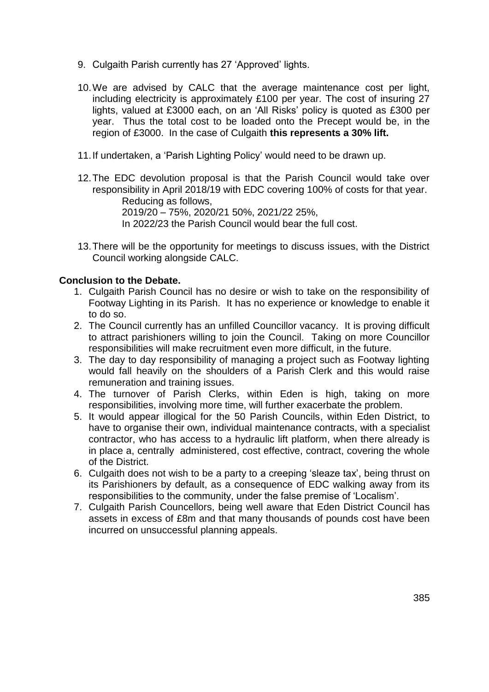- 9. Culgaith Parish currently has 27 'Approved' lights.
- 10.We are advised by CALC that the average maintenance cost per light, including electricity is approximately £100 per year. The cost of insuring 27 lights, valued at £3000 each, on an 'All Risks' policy is quoted as £300 per year. Thus the total cost to be loaded onto the Precept would be, in the region of £3000. In the case of Culgaith **this represents a 30% lift.**
- 11.If undertaken, a 'Parish Lighting Policy' would need to be drawn up.
- 12.The EDC devolution proposal is that the Parish Council would take over responsibility in April 2018/19 with EDC covering 100% of costs for that year. Reducing as follows, 2019/20 – 75%, 2020/21 50%, 2021/22 25%, In 2022/23 the Parish Council would bear the full cost.
- 13.There will be the opportunity for meetings to discuss issues, with the District Council working alongside CALC.

### **Conclusion to the Debate.**

- 1. Culgaith Parish Council has no desire or wish to take on the responsibility of Footway Lighting in its Parish. It has no experience or knowledge to enable it to do so.
- 2. The Council currently has an unfilled Councillor vacancy. It is proving difficult to attract parishioners willing to join the Council. Taking on more Councillor responsibilities will make recruitment even more difficult, in the future.
- 3. The day to day responsibility of managing a project such as Footway lighting would fall heavily on the shoulders of a Parish Clerk and this would raise remuneration and training issues.
- 4. The turnover of Parish Clerks, within Eden is high, taking on more responsibilities, involving more time, will further exacerbate the problem.
- 5. It would appear illogical for the 50 Parish Councils, within Eden District, to have to organise their own, individual maintenance contracts, with a specialist contractor, who has access to a hydraulic lift platform, when there already is in place a, centrally administered, cost effective, contract, covering the whole of the District.
- 6. Culgaith does not wish to be a party to a creeping 'sleaze tax', being thrust on its Parishioners by default, as a consequence of EDC walking away from its responsibilities to the community, under the false premise of 'Localism'.
- 7. Culgaith Parish Councellors, being well aware that Eden District Council has assets in excess of £8m and that many thousands of pounds cost have been incurred on unsuccessful planning appeals.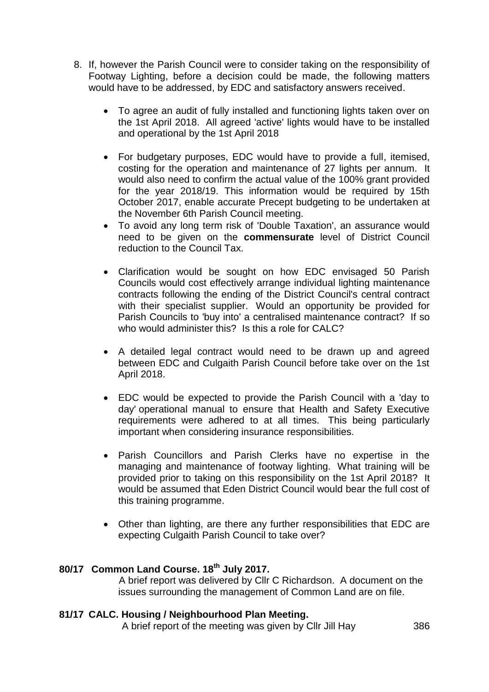- 8. If, however the Parish Council were to consider taking on the responsibility of Footway Lighting, before a decision could be made, the following matters would have to be addressed, by EDC and satisfactory answers received.
	- To agree an audit of fully installed and functioning lights taken over on the 1st April 2018. All agreed 'active' lights would have to be installed and operational by the 1st April 2018
	- For budgetary purposes, EDC would have to provide a full, itemised, costing for the operation and maintenance of 27 lights per annum. It would also need to confirm the actual value of the 100% grant provided for the year 2018/19. This information would be required by 15th October 2017, enable accurate Precept budgeting to be undertaken at the November 6th Parish Council meeting.
	- To avoid any long term risk of 'Double Taxation', an assurance would need to be given on the **commensurate** level of District Council reduction to the Council Tax.
	- Clarification would be sought on how EDC envisaged 50 Parish Councils would cost effectively arrange individual lighting maintenance contracts following the ending of the District Council's central contract with their specialist supplier. Would an opportunity be provided for Parish Councils to 'buy into' a centralised maintenance contract? If so who would administer this? Is this a role for CALC?
	- A detailed legal contract would need to be drawn up and agreed between EDC and Culgaith Parish Council before take over on the 1st April 2018.
	- EDC would be expected to provide the Parish Council with a 'day to day' operational manual to ensure that Health and Safety Executive requirements were adhered to at all times. This being particularly important when considering insurance responsibilities.
	- Parish Councillors and Parish Clerks have no expertise in the managing and maintenance of footway lighting. What training will be provided prior to taking on this responsibility on the 1st April 2018? It would be assumed that Eden District Council would bear the full cost of this training programme.
	- Other than lighting, are there any further responsibilities that EDC are expecting Culgaith Parish Council to take over?

## **80/17 Common Land Course. 18th July 2017.**

A brief report was delivered by Cllr C Richardson. A document on the issues surrounding the management of Common Land are on file.

### **81/17 CALC. Housing / Neighbourhood Plan Meeting.**

A brief report of the meeting was given by Cllr Jill Hay 386